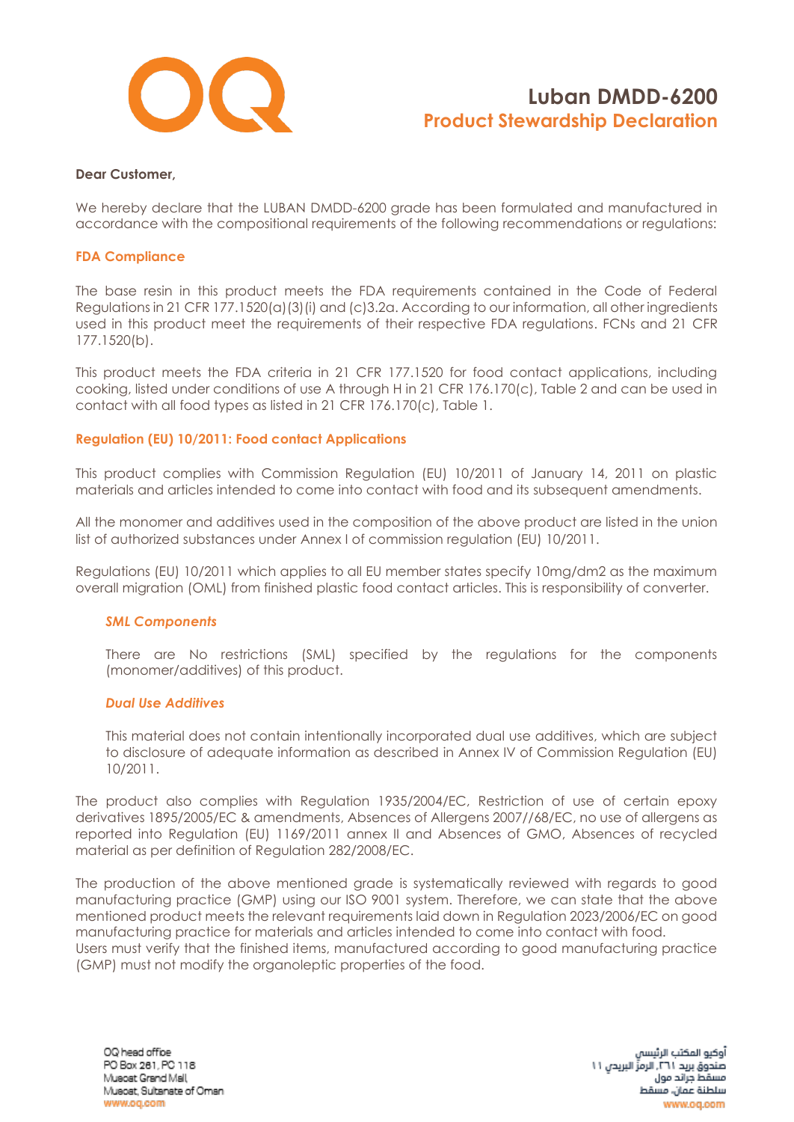

#### **Dear Customer,**

We hereby declare that the LUBAN DMDD-6200 grade has been formulated and manufactured in accordance with the compositional requirements of the following recommendations or regulations:

#### **FDA Compliance**

The base resin in this product meets the FDA requirements contained in the Code of Federal Regulations in 21 CFR 177.1520(a)(3)(i) and (c)3.2a. According to our information, all other ingredients used in this product meet the requirements of their respective FDA regulations. FCNs and 21 CFR 177.1520(b).

This product meets the FDA criteria in 21 CFR 177.1520 for food contact applications, including cooking, listed under conditions of use A through H in 21 CFR 176.170(c), Table 2 and can be used in contact with all food types as listed in 21 CFR 176.170(c), Table 1.

## **Regulation (EU) 10/2011: Food contact Applications**

This product complies with Commission Regulation (EU) 10/2011 of January 14, 2011 on plastic materials and articles intended to come into contact with food and its subsequent amendments.

All the monomer and additives used in the composition of the above product are listed in the union list of authorized substances under Annex I of commission regulation (EU) 10/2011.

Regulations (EU) 10/2011 which applies to all EU member states specify 10mg/dm2 as the maximum overall migration (OML) from finished plastic food contact articles. This is responsibility of converter.

#### *SML Components*

There are No restrictions (SML) specified by the regulations for the components (monomer/additives) of this product.

#### *Dual Use Additives*

This material does not contain intentionally incorporated dual use additives, which are subject to disclosure of adequate information as described in Annex IV of Commission Regulation (EU) 10/2011.

The product also complies with Regulation 1935/2004/EC, Restriction of use of certain epoxy derivatives 1895/2005/EC & amendments, Absences of Allergens 2007//68/EC, no use of allergens as reported into Regulation (EU) 1169/2011 annex II and Absences of GMO, Absences of recycled material as per definition of Regulation 282/2008/EC.

The production of the above mentioned grade is systematically reviewed with regards to good manufacturing practice (GMP) using our ISO 9001 system. Therefore, we can state that the above mentioned product meets the relevant requirements laid down in Regulation 2023/2006/EC on good manufacturing practice for materials and articles intended to come into contact with food. Users must verify that the finished items, manufactured according to good manufacturing practice (GMP) must not modify the organoleptic properties of the food.

OQ head office PO Box 261, PC 118 Muscat Grand Mall Musoat, Sultanate of Oman www.oq.com

آوكيو المكتب الرئيسا صندوق بريد ٢٦١. الرمزِّ البريدي ١١ مسقط جراند مول سلطنة عمان، مسقط www.oq.com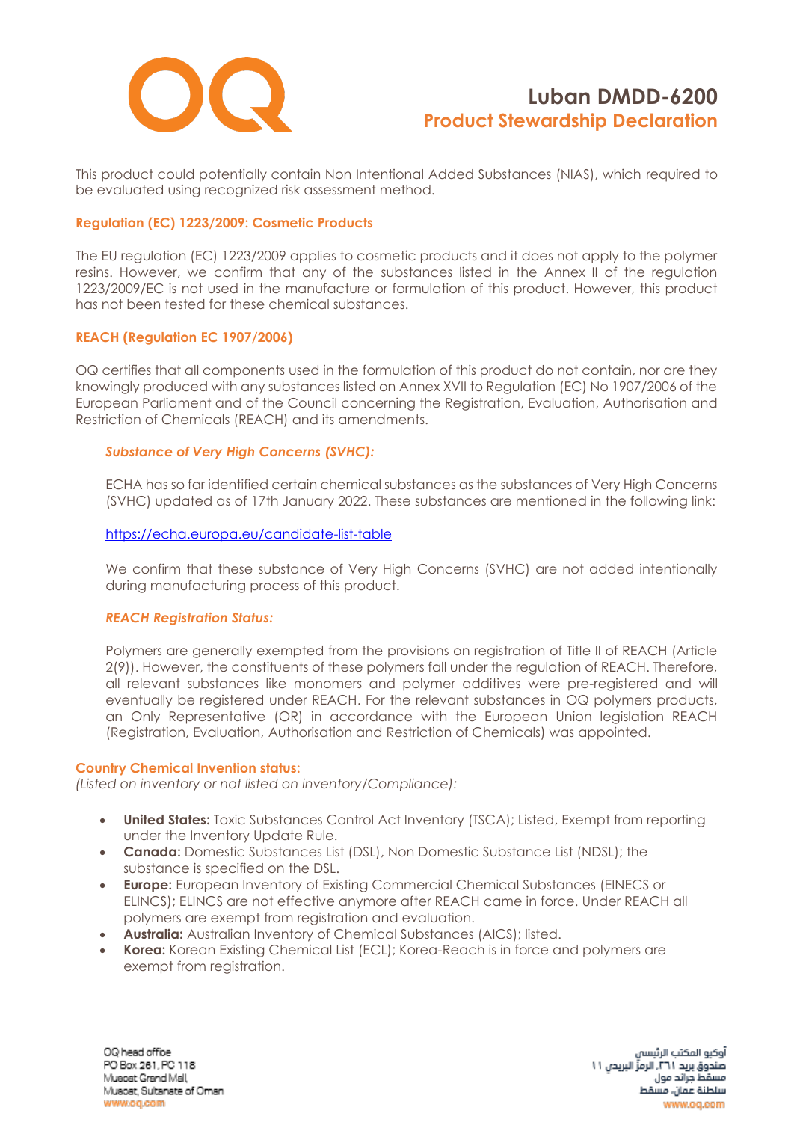

This product could potentially contain Non Intentional Added Substances (NIAS), which required to be evaluated using recognized risk assessment method.

## **Regulation (EC) 1223/2009: Cosmetic Products**

The EU regulation (EC) 1223/2009 applies to cosmetic products and it does not apply to the polymer resins. However, we confirm that any of the substances listed in the Annex II of the regulation 1223/2009/EC is not used in the manufacture or formulation of this product. However, this product has not been tested for these chemical substances.

## **REACH (Regulation EC 1907/2006)**

OQ certifies that all components used in the formulation of this product do not contain, nor are they knowingly produced with any substances listed on Annex XVII to Regulation (EC) No 1907/2006 of the European Parliament and of the Council concerning the Registration, Evaluation, Authorisation and Restriction of Chemicals (REACH) and its amendments.

## *Substance of Very High Concerns (SVHC):*

ECHA has so far identified certain chemical substances as the substances of Very High Concerns (SVHC) updated as of 17th January 2022. These substances are mentioned in the following link:

#### <https://echa.europa.eu/candidate-list-table>

We confirm that these substance of Very High Concerns (SVHC) are not added intentionally during manufacturing process of this product.

#### *REACH Registration Status:*

Polymers are generally exempted from the provisions on registration of Title II of REACH (Article 2(9)). However, the constituents of these polymers fall under the regulation of REACH. Therefore, all relevant substances like monomers and polymer additives were pre-registered and will eventually be registered under REACH. For the relevant substances in OQ polymers products, an Only Representative (OR) in accordance with the European Union legislation REACH (Registration, Evaluation, Authorisation and Restriction of Chemicals) was appointed.

#### **Country Chemical Invention status:**

*(Listed on inventory or not listed on inventory/Compliance):*

- **United States:** Toxic Substances Control Act Inventory (TSCA); Listed, Exempt from reporting under the Inventory Update Rule.
- **Canada:** Domestic Substances List (DSL), Non Domestic Substance List (NDSL); the substance is specified on the DSL.
- **Europe:** European Inventory of Existing Commercial Chemical Substances (EINECS or ELINCS); ELINCS are not effective anymore after REACH came in force. Under REACH all polymers are exempt from registration and evaluation.
- **Australia:** Australian Inventory of Chemical Substances (AICS); listed.
- **Korea:** Korean Existing Chemical List (ECL); Korea-Reach is in force and polymers are exempt from registration.

OQ head office PO Box 261, PC 118 Muscat Grand Mall Musoat, Sultanate of Oman www.oq.com

آوكيو المكتب الرئيسا صندوق بريد ٢٦١. الرمزِّ البريدي ١١ مسقط جراند مول سلطنة عمان، مسقط www.oa.com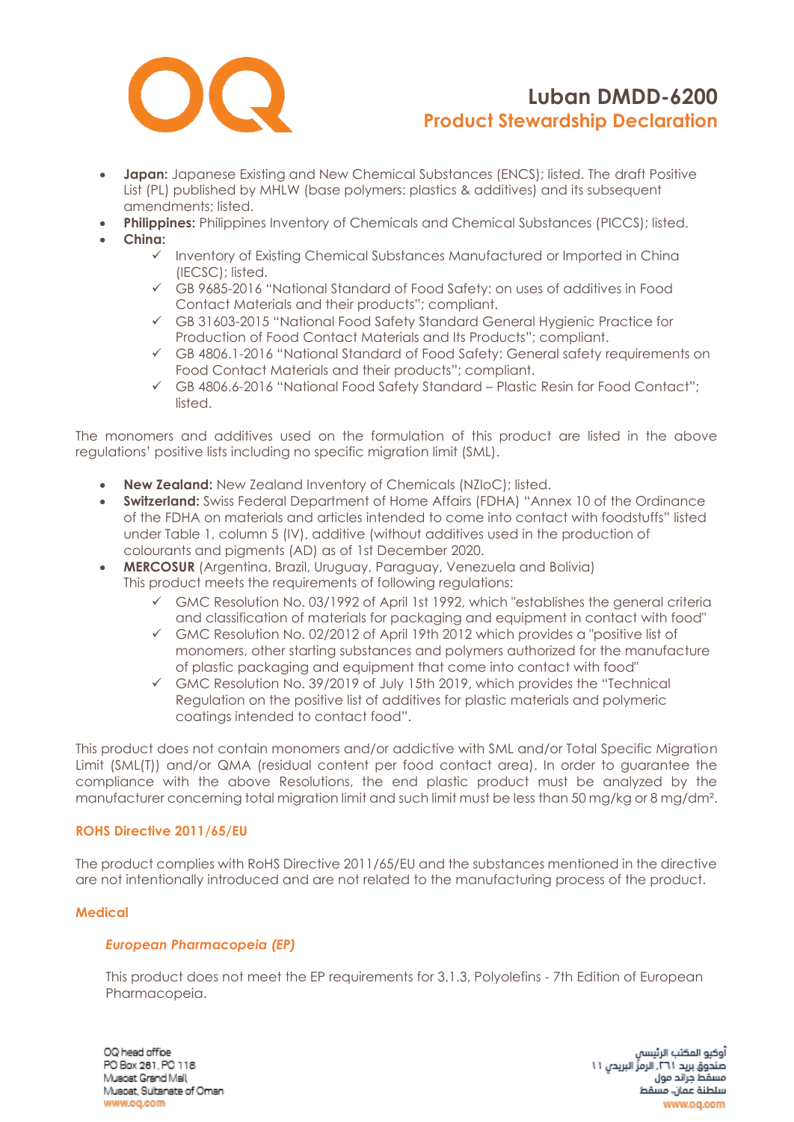

- **Japan:** Japanese Existing and New Chemical Substances (ENCS); listed. The draft Positive List (PL) published by MHLW (base polymers: plastics & additives) and its subsequent amendments; listed.
- **Philippines:** Philippines Inventory of Chemicals and Chemical Substances (PICCS); listed.
- **China:**
	- ✓ Inventory of Existing Chemical Substances Manufactured or Imported in China (IECSC); listed.
	- ✓ GB 9685-2016 "National Standard of Food Safety: on uses of additives in Food Contact Materials and their products"; compliant.
	- ✓ GB 31603-2015 "National Food Safety Standard General Hygienic Practice for Production of Food Contact Materials and Its Products"; compliant.
	- ✓ GB 4806.1-2016 "National Standard of Food Safety: General safety requirements on Food Contact Materials and their products"; compliant.
	- ✓ GB 4806.6-2016 "National Food Safety Standard Plastic Resin for Food Contact"; listed.

The monomers and additives used on the formulation of this product are listed in the above regulations' positive lists including no specific migration limit (SML).

- **New Zealand:** New Zealand Inventory of Chemicals (NZIoC); listed.
- **Switzerland:** Swiss Federal Department of Home Affairs (FDHA) "Annex 10 of the Ordinance of the FDHA on materials and articles intended to come into contact with foodstuffs" listed under Table 1, column 5 (IV), additive (without additives used in the production of colourants and pigments (AD) as of 1st December 2020.
- **MERCOSUR** (Argentina, Brazil, Uruguay, Paraguay, Venezuela and Bolivia) This product meets the requirements of following regulations:
	- $\checkmark$  GMC Resolution No. 03/1992 of April 1st 1992, which "establishes the general criteria and classification of materials for packaging and equipment in contact with food"
	- ✓ GMC Resolution No. 02/2012 of April 19th 2012 which provides a "positive list of monomers, other starting substances and polymers authorized for the manufacture of plastic packaging and equipment that come into contact with food"
	- ✓ GMC Resolution No. 39/2019 of July 15th 2019, which provides the "Technical Regulation on the positive list of additives for plastic materials and polymeric coatings intended to contact food".

This product does not contain monomers and/or addictive with SML and/or Total Specific Migration Limit (SML(T)) and/or QMA (residual content per food contact area). In order to guarantee the compliance with the above Resolutions, the end plastic product must be analyzed by the manufacturer concerning total migration limit and such limit must be less than 50 mg/kg or 8 mg/dm².

## **ROHS Directive 2011/65/EU**

The product complies with RoHS Directive 2011/65/EU and the substances mentioned in the directive are not intentionally introduced and are not related to the manufacturing process of the product.

## **Medical**

## *European Pharmacopeia (EP)*

This product does not meet the EP requirements for 3.1.3, Polyolefins - 7th Edition of European Pharmacopeia.

OQ head office PO Box 261, PC 118 Muscat Grand Mall Musoat, Sultanate of Oman www.oq.com

آوكيو المكتب الرئيسا صندوق بريد ٢٦١. الرمزِّ البريدي ١١ مسقط جراند مول سلطنة عمان، مسقط www.oa.com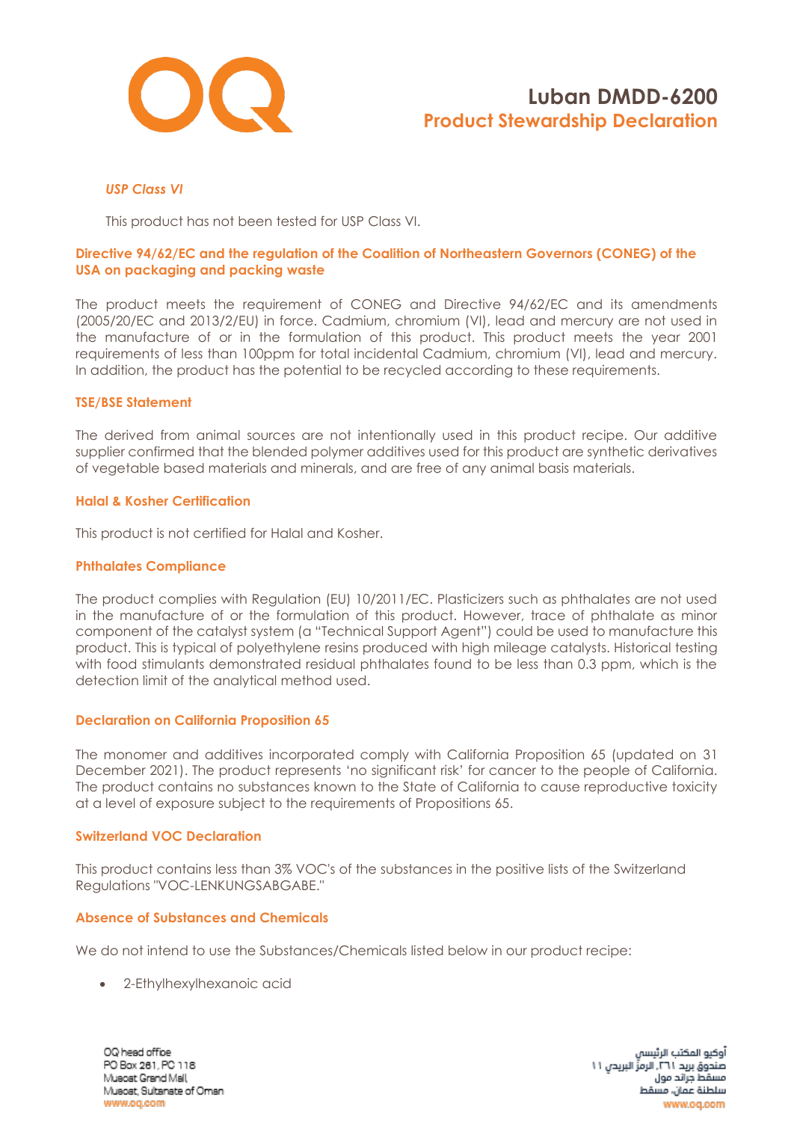

## *USP Class VI*

This product has not been tested for USP Class VI.

## **Directive 94/62/EC and the regulation of the Coalition of Northeastern Governors (CONEG) of the USA on packaging and packing waste**

The product meets the requirement of CONEG and Directive 94/62/EC and its amendments (2005/20/EC and 2013/2/EU) in force. Cadmium, chromium (VI), lead and mercury are not used in the manufacture of or in the formulation of this product. This product meets the year 2001 requirements of less than 100ppm for total incidental Cadmium, chromium (VI), lead and mercury. In addition, the product has the potential to be recycled according to these requirements.

#### **TSE/BSE Statement**

The derived from animal sources are not intentionally used in this product recipe. Our additive supplier confirmed that the blended polymer additives used for this product are synthetic derivatives of vegetable based materials and minerals, and are free of any animal basis materials.

#### **Halal & Kosher Certification**

This product is not certified for Halal and Kosher.

#### **Phthalates Compliance**

The product complies with Regulation (EU) 10/2011/EC. Plasticizers such as phthalates are not used in the manufacture of or the formulation of this product. However, trace of phthalate as minor component of the catalyst system (a "Technical Support Agent") could be used to manufacture this product. This is typical of polyethylene resins produced with high mileage catalysts. Historical testing with food stimulants demonstrated residual phthalates found to be less than 0.3 ppm, which is the detection limit of the analytical method used.

## **Declaration on California Proposition 65**

The monomer and additives incorporated comply with California Proposition 65 (updated on 31 December 2021). The product represents 'no significant risk' for cancer to the people of California. The product contains no substances known to the State of California to cause reproductive toxicity at a level of exposure subject to the requirements of Propositions 65.

#### **Switzerland VOC Declaration**

This product contains less than 3% VOC's of the substances in the positive lists of the Switzerland Regulations "VOC-LENKUNGSABGABE."

## **Absence of Substances and Chemicals**

We do not intend to use the Substances/Chemicals listed below in our product recipe:

• 2-Ethylhexylhexanoic acid

OQ head office PO Box 261, PC 118 Muscat Grand Mall Musoat, Sultanate of Oman www.oq.com

آوكيو المكتب الرئيسا صندوق بريد ٢٦١. الرمزِّ البريدي ١١ مسقط جراند مول سلطنة عمان، مسقط www.oq.com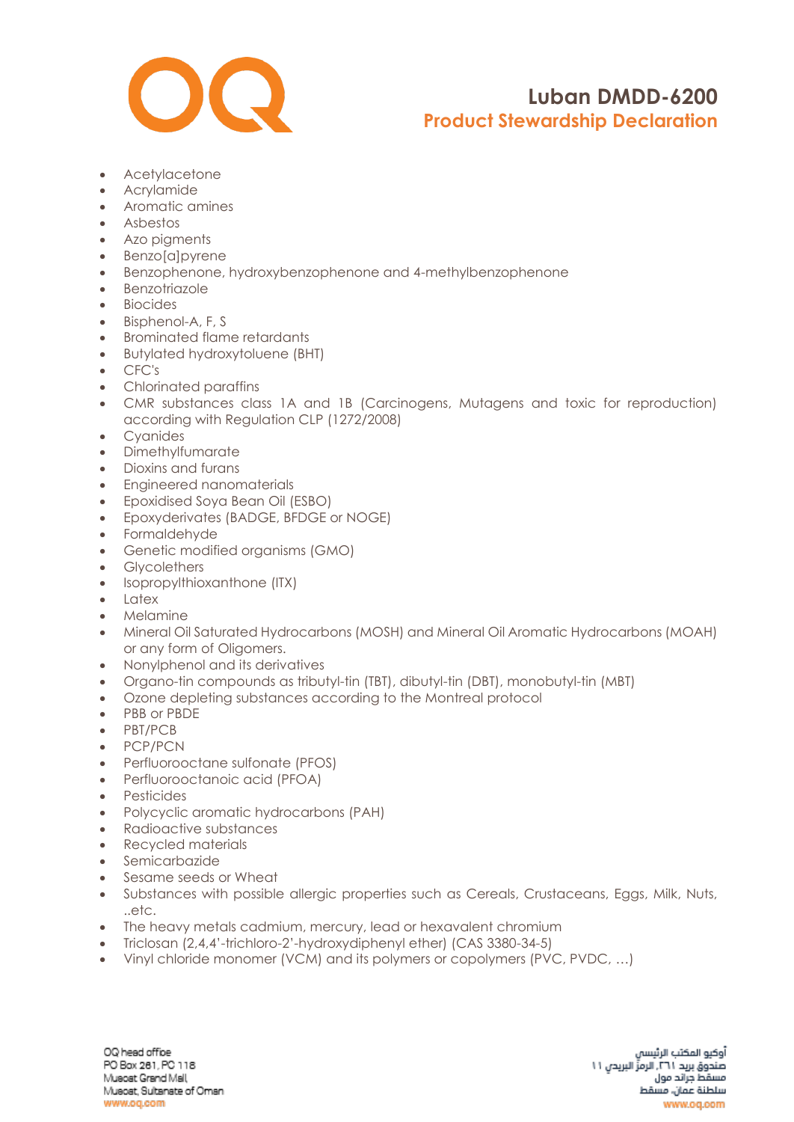

- Acetylacetone
- Acrylamide
- Aromatic amines
- Asbestos
- Azo pigments
- Benzo[a]pyrene
- Benzophenone, hydroxybenzophenone and 4-methylbenzophenone
- Benzotriazole
- Biocides
- Bisphenol-A, F, S
- Brominated flame retardants
- Butylated hydroxytoluene (BHT)
- CFC's
- Chlorinated paraffins
- CMR substances class 1A and 1B (Carcinogens, Mutagens and toxic for reproduction) according with Regulation CLP (1272/2008)
- Cyanides
- Dimethylfumarate
- Dioxins and furans
- Engineered nanomaterials
- Epoxidised Soya Bean Oil (ESBO)
- Epoxyderivates (BADGE, BFDGE or NOGE)
- Formaldehyde
- Genetic modified organisms (GMO)
- Glycolethers
- [Isopropylthioxanthone](https://www.google.com/search?rlz=1C1CHBF_enAE772AE772&q=Isopropylthioxanthone+(ITX)&spell=1&sa=X&ved=0ahUKEwjZgv6l6_fZAhWOblAKHQZfCSMQkeECCCIoAA) (ITX)
- Latex
- Melamine
- Mineral Oil Saturated Hydrocarbons (MOSH) and Mineral Oil Aromatic Hydrocarbons (MOAH) or any form of Oligomers.
- Nonylphenol and its derivatives
- Organo-tin compounds as tributyl-tin (TBT), dibutyl-tin (DBT), monobutyl-tin (MBT)
- Ozone depleting substances according to the Montreal protocol
- PBB or PBDE
- PBT/PCB
- PCP/PCN
- Perfluorooctane sulfonate (PFOS)
- Perfluorooctanoic acid (PFOA)
- Pesticides
- Polycyclic aromatic hydrocarbons (PAH)
- Radioactive substances
- Recycled materials
- Semicarbazide
- Sesame seeds or Wheat
- Substances with possible allergic properties such as Cereals, Crustaceans, Eggs, Milk, Nuts, ..etc.
- The heavy metals cadmium, mercury, lead or hexavalent chromium
- Triclosan (2,4,4'-trichloro-2'-hydroxydiphenyl ether) (CAS 3380-34-5)
- Vinyl chloride monomer (VCM) and its polymers or copolymers (PVC, PVDC, …)

OQ head office PO Box 261, PC 118 Muscat Grand Mall Musoat, Sultanate of Oman www.oq.com